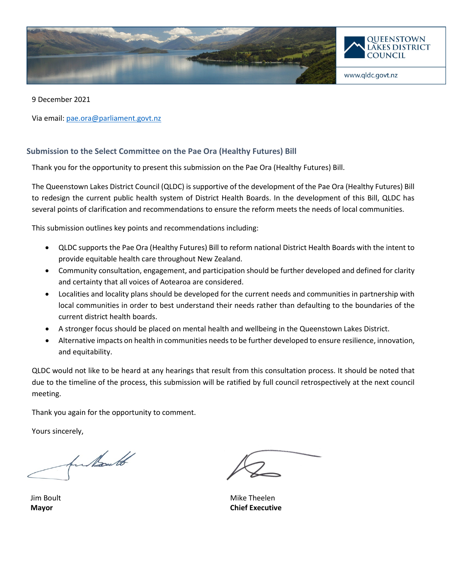

9 December 2021

Via email[: pae.ora@parliament.govt.nz](mailto:pae.ora@parliament.govt.nz)

# **Submission to the Select Committee on the Pae Ora (Healthy Futures) Bill**

Thank you for the opportunity to present this submission on the Pae Ora (Healthy Futures) Bill.

The Queenstown Lakes District Council (QLDC) is supportive of the development of the Pae Ora (Healthy Futures) Bill to redesign the current public health system of District Health Boards. In the development of this Bill, QLDC has several points of clarification and recommendations to ensure the reform meets the needs of local communities.

This submission outlines key points and recommendations including:

- QLDC supports the Pae Ora (Healthy Futures) Bill to reform national District Health Boards with the intent to provide equitable health care throughout New Zealand.
- Community consultation, engagement, and participation should be further developed and defined for clarity and certainty that all voices of Aotearoa are considered.
- Localities and locality plans should be developed for the current needs and communities in partnership with local communities in order to best understand their needs rather than defaulting to the boundaries of the current district health boards.
- A stronger focus should be placed on mental health and wellbeing in the Queenstown Lakes District.
- Alternative impacts on health in communities needs to be further developed to ensure resilience, innovation, and equitability.

QLDC would not like to be heard at any hearings that result from this consultation process. It should be noted that due to the timeline of the process, this submission will be ratified by full council retrospectively at the next council meeting.

Thank you again for the opportunity to comment.

Yours sincerely,

for Nouth

Jim Boult **Mayor**

Mike Theelen **Chief Executive**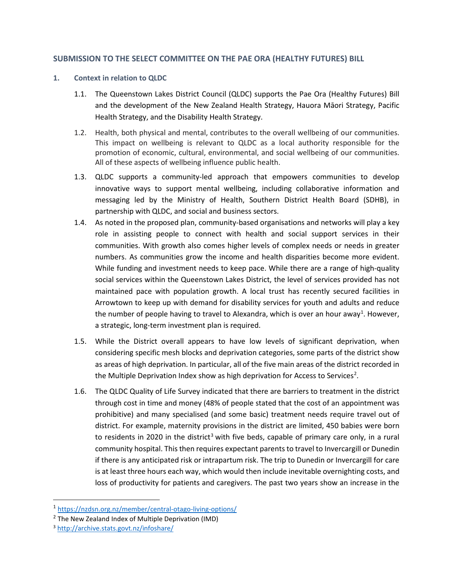### **SUBMISSION TO THE SELECT COMMITTEE ON THE PAE ORA (HEALTHY FUTURES) BILL**

### **1. Context in relation to QLDC**

- 1.1. The Queenstown Lakes District Council (QLDC) supports the Pae Ora (Healthy Futures) Bill and the development of the New Zealand Health Strategy, Hauora Māori Strategy, Pacific Health Strategy, and the Disability Health Strategy.
- 1.2. Health, both physical and mental, contributes to the overall wellbeing of our communities. This impact on wellbeing is relevant to QLDC as a local authority responsible for the promotion of economic, cultural, environmental, and social wellbeing of our communities. All of these aspects of wellbeing influence public health.
- 1.3. QLDC supports a community-led approach that empowers communities to develop innovative ways to support mental wellbeing, including collaborative information and messaging led by the Ministry of Health, Southern District Health Board (SDHB), in partnership with QLDC, and social and business sectors.
- 1.4. As noted in the proposed plan, community-based organisations and networks will play a key role in assisting people to connect with health and social support services in their communities. With growth also comes higher levels of complex needs or needs in greater numbers. As communities grow the income and health disparities become more evident. While funding and investment needs to keep pace. While there are a range of high-quality social services within the Queenstown Lakes District, the level of services provided has not maintained pace with population growth. A local trust has recently secured facilities in Arrowtown to keep up with demand for disability services for youth and adults and reduce the number of people having to travel to Alexandra, which is over an hour away<sup>[1](#page-1-0)</sup>. However, a strategic, long-term investment plan is required.
- 1.5. While the District overall appears to have low levels of significant deprivation, when considering specific mesh blocks and deprivation categories, some parts of the district show as areas of high deprivation. In particular, all of the five main areas of the district recorded in the Multiple Deprivation Index show as high deprivation for Access to Services<sup>[2](#page-1-1)</sup>.
- 1.6. The QLDC Quality of Life Survey indicated that there are barriers to treatment in the district through cost in time and money (48% of people stated that the cost of an appointment was prohibitive) and many specialised (and some basic) treatment needs require travel out of district. For example, maternity provisions in the district are limited, 450 babies were born to residents in 2020 in the district<sup>[3](#page-1-2)</sup> with five beds, capable of primary care only, in a rural community hospital. This then requires expectant parents to travel to Invercargill or Dunedin if there is any anticipated risk or intrapartum risk. The trip to Dunedin or Invercargill for care is at least three hours each way, which would then include inevitable overnighting costs, and loss of productivity for patients and caregivers. The past two years show an increase in the

<span id="page-1-0"></span><sup>1</sup> <https://nzdsn.org.nz/member/central-otago-living-options/>

<span id="page-1-1"></span><sup>&</sup>lt;sup>2</sup> The New Zealand Index of Multiple Deprivation (IMD)

<span id="page-1-2"></span><sup>3</sup> <http://archive.stats.govt.nz/infoshare/>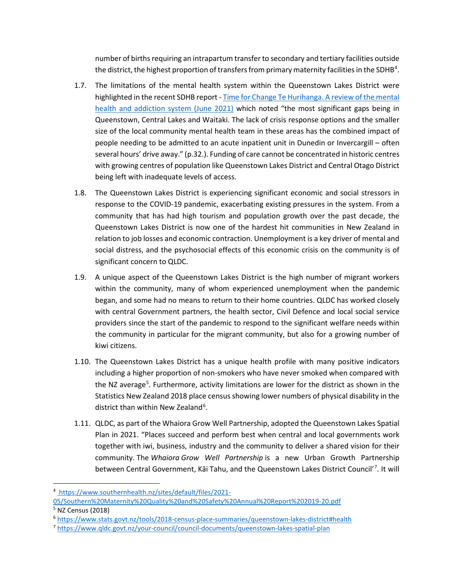number of births requiring an intrapartum transfer to secondary and tertiary facilities outside the district, the highest proportion of transfers from primary maternity facilities in the SDHB<sup>[4](#page-2-0)</sup>.

- 1.7. The limitations of the mental health system within the Queenstown Lakes District were highlighted in the recent SDHB report - [Time for Change Te Hurihanga. A review of the mental](https://www.southernhealth.nz/sites/default/files/2021-08/SDHB%20MHA%20Review%20Report%20Synergia.pdf)  [health and addiction system \(June 2021\)](https://www.southernhealth.nz/sites/default/files/2021-08/SDHB%20MHA%20Review%20Report%20Synergia.pdf) which noted "the most significant gaps being in Queenstown, Central Lakes and Waitaki. The lack of crisis response options and the smaller size of the local community mental health team in these areas has the combined impact of people needing to be admitted to an acute inpatient unit in Dunedin or Invercargill – often several hours' drive away." (p.32.). Funding of care cannot be concentrated in historic centres with growing centres of population like Queenstown Lakes District and Central Otago District being left with inadequate levels of access.
- 1.8. The Queenstown Lakes District is experiencing significant economic and social stressors in response to the COVID-19 pandemic, exacerbating existing pressures in the system. From a community that has had high tourism and population growth over the past decade, the Queenstown Lakes District is now one of the hardest hit communities in New Zealand in relation to job losses and economic contraction. Unemployment is a key driver of mental and social distress, and the psychosocial effects of this economic crisis on the community is of significant concern to QLDC.
- 1.9. A unique aspect of the Queenstown Lakes District is the high number of migrant workers within the community, many of whom experienced unemployment when the pandemic began, and some had no means to return to their home countries. QLDC has worked closely with central Government partners, the health sector, Civil Defence and local social service providers since the start of the pandemic to respond to the significant welfare needs within the community in particular for the migrant community, but also for a growing number of kiwi citizens.
- 1.10. The Queenstown Lakes District has a unique health profile with many positive indicators including a higher proportion of non-smokers who have never smoked when compared with the NZ average<sup>[5](#page-2-1)</sup>. Furthermore, activity limitations are lower for the district as shown in the Statistics New Zealand 2018 place census showing lower numbers of physical disability in the district than within New Zealand<sup>[6](#page-2-2)</sup>.
- 1.11. QLDC, as part of the Whaiora Grow Well Partnership, adopted the Queenstown Lakes Spatial Plan in 2021. "Places succeed and perform best when central and local governments work together with iwi, business, industry and the community to deliver a shared vision for their community. The *Whaiora Grow Well Partnership* is a new Urban Growth Partnership between Central Government, Kāi Tahu, and the Queenstown Lakes District Council'<sup>[7](#page-2-3)</sup>. It will

<span id="page-2-0"></span><sup>4</sup> [https://www.southernhealth.nz/sites/default/files/2021-](https://www.southernhealth.nz/sites/default/files/2021-05/Southern%20Maternity%20Quality%20and%20Safety%20Annual%20Report%202019-20.pdf)

[<sup>05/</sup>Southern%20Maternity%20Quality%20and%20Safety%20Annual%20Report%202019-20.pdf](https://www.southernhealth.nz/sites/default/files/2021-05/Southern%20Maternity%20Quality%20and%20Safety%20Annual%20Report%202019-20.pdf) <sup>5</sup> NZ Census (2018)

<span id="page-2-2"></span><span id="page-2-1"></span><sup>6</sup> <https://www.stats.govt.nz/tools/2018-census-place-summaries/queenstown-lakes-district#health>

<span id="page-2-3"></span><sup>7</sup> <https://www.qldc.govt.nz/your-council/council-documents/queenstown-lakes-spatial-plan>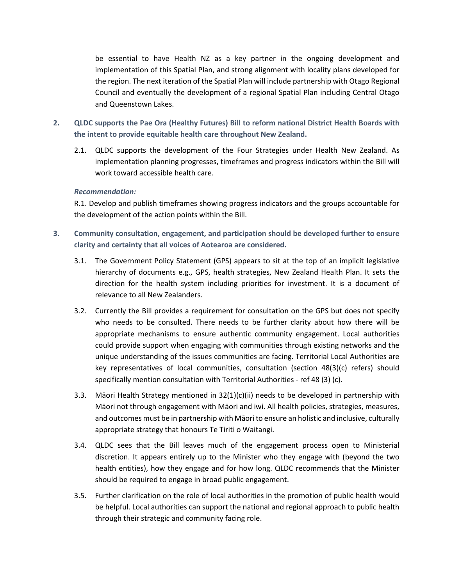be essential to have Health NZ as a key partner in the ongoing development and implementation of this Spatial Plan, and strong alignment with locality plans developed for the region. The next iteration of the Spatial Plan will include partnership with Otago Regional Council and eventually the development of a regional Spatial Plan including Central Otago and Queenstown Lakes.

- **2. QLDC supports the Pae Ora (Healthy Futures) Bill to reform national District Health Boards with the intent to provide equitable health care throughout New Zealand.**
	- 2.1. QLDC supports the development of the Four Strategies under Health New Zealand. As implementation planning progresses, timeframes and progress indicators within the Bill will work toward accessible health care.

#### *Recommendation:*

R.1. Develop and publish timeframes showing progress indicators and the groups accountable for the development of the action points within the Bill.

- **3. Community consultation, engagement, and participation should be developed further to ensure clarity and certainty that all voices of Aotearoa are considered.**
	- 3.1. The Government Policy Statement (GPS) appears to sit at the top of an implicit legislative hierarchy of documents e.g., GPS, health strategies, New Zealand Health Plan. It sets the direction for the health system including priorities for investment. It is a document of relevance to all New Zealanders.
	- 3.2. Currently the Bill provides a requirement for consultation on the GPS but does not specify who needs to be consulted. There needs to be further clarity about how there will be appropriate mechanisms to ensure authentic community engagement. Local authorities could provide support when engaging with communities through existing networks and the unique understanding of the issues communities are facing. Territorial Local Authorities are key representatives of local communities, consultation (section 48(3)(c) refers) should specifically mention consultation with Territorial Authorities - ref 48 (3) (c).
	- 3.3. Māori Health Strategy mentioned in  $32(1)(c)(ii)$  needs to be developed in partnership with Māori not through engagement with Māori and iwi. All health policies, strategies, measures, and outcomes must be in partnership with Māori to ensure an holistic and inclusive, culturally appropriate strategy that honours Te Tiriti o Waitangi.
	- 3.4. QLDC sees that the Bill leaves much of the engagement process open to Ministerial discretion. It appears entirely up to the Minister who they engage with (beyond the two health entities), how they engage and for how long. QLDC recommends that the Minister should be required to engage in broad public engagement.
	- 3.5. Further clarification on the role of local authorities in the promotion of public health would be helpful. Local authorities can support the national and regional approach to public health through their strategic and community facing role.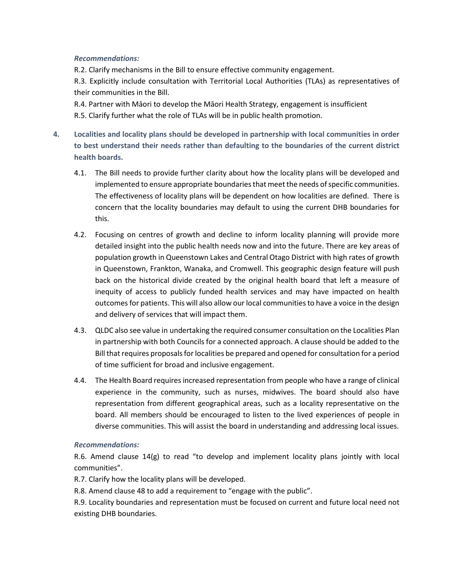### *Recommendations:*

R.2. Clarify mechanisms in the Bill to ensure effective community engagement.

R.3. Explicitly include consultation with Territorial Local Authorities (TLAs) as representatives of their communities in the Bill.

R.4. Partner with Māori to develop the Māori Health Strategy, engagement is insufficient

R.5. Clarify further what the role of TLAs will be in public health promotion.

- **4. Localities and locality plans should be developed in partnership with local communities in order to best understand their needs rather than defaulting to the boundaries of the current district health boards.**
	- 4.1. The Bill needs to provide further clarity about how the locality plans will be developed and implemented to ensure appropriate boundaries that meet the needs of specific communities. The effectiveness of locality plans will be dependent on how localities are defined. There is concern that the locality boundaries may default to using the current DHB boundaries for this.
	- 4.2. Focusing on centres of growth and decline to inform locality planning will provide more detailed insight into the public health needs now and into the future. There are key areas of population growth in Queenstown Lakes and Central Otago District with high rates of growth in Queenstown, Frankton, Wanaka, and Cromwell. This geographic design feature will push back on the historical divide created by the original health board that left a measure of inequity of access to publicly funded health services and may have impacted on health outcomes for patients. This will also allow our local communities to have a voice in the design and delivery of services that will impact them.
	- 4.3. QLDC also see value in undertaking the required consumer consultation on the Localities Plan in partnership with both Councils for a connected approach. A clause should be added to the Bill that requires proposals for localities be prepared and opened for consultation for a period of time sufficient for broad and inclusive engagement.
	- 4.4. The Health Board requires increased representation from people who have a range of clinical experience in the community, such as nurses, midwives. The board should also have representation from different geographical areas, such as a locality representative on the board. All members should be encouraged to listen to the lived experiences of people in diverse communities. This will assist the board in understanding and addressing local issues.

### *Recommendations:*

R.6. Amend clause  $14(g)$  to read "to develop and implement locality plans jointly with local communities".

R.7. Clarify how the locality plans will be developed.

R.8. Amend clause 48 to add a requirement to "engage with the public".

R.9. Locality boundaries and representation must be focused on current and future local need not existing DHB boundaries.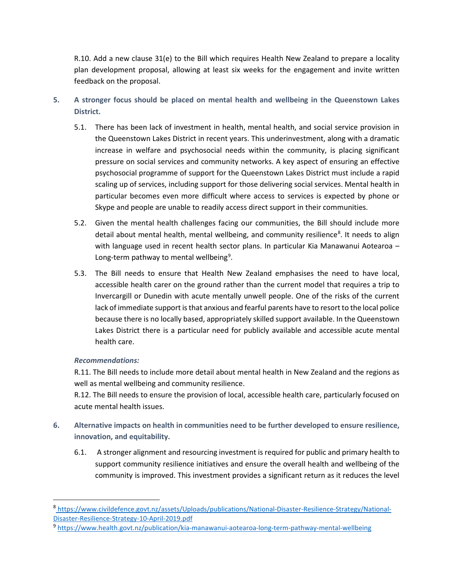R.10. Add a new clause 31(e) to the Bill which requires Health New Zealand to prepare a locality plan development proposal, allowing at least six weeks for the engagement and invite written feedback on the proposal.

- **5. A stronger focus should be placed on mental health and wellbeing in the Queenstown Lakes District.**
	- 5.1. There has been lack of investment in health, mental health, and social service provision in the Queenstown Lakes District in recent years. This underinvestment, along with a dramatic increase in welfare and psychosocial needs within the community, is placing significant pressure on social services and community networks. A key aspect of ensuring an effective psychosocial programme of support for the Queenstown Lakes District must include a rapid scaling up of services, including support for those delivering social services. Mental health in particular becomes even more difficult where access to services is expected by phone or Skype and people are unable to readily access direct support in their communities.
	- 5.2. Given the mental health challenges facing our communities, the Bill should include more detail about mental health, mental wellbeing, and community resilience<sup>[8](#page-5-0)</sup>. It needs to align with language used in recent health sector plans. In particular Kia Manawanui Aotearoa – Long-term pathway to mental wellbeing<sup>[9](#page-5-1)</sup>.
	- 5.3. The Bill needs to ensure that Health New Zealand emphasises the need to have local, accessible health carer on the ground rather than the current model that requires a trip to Invercargill or Dunedin with acute mentally unwell people. One of the risks of the current lack of immediate support is that anxious and fearful parents have to resort to the local police because there is no locally based, appropriately skilled support available. In the Queenstown Lakes District there is a particular need for publicly available and accessible acute mental health care.

### *Recommendations:*

R.11. The Bill needs to include more detail about mental health in New Zealand and the regions as well as mental wellbeing and community resilience.

R.12. The Bill needs to ensure the provision of local, accessible health care, particularly focused on acute mental health issues.

- **6. Alternative impacts on health in communities need to be further developed to ensure resilience, innovation, and equitability.**
	- 6.1. A stronger alignment and resourcing investment is required for public and primary health to support community resilience initiatives and ensure the overall health and wellbeing of the community is improved. This investment provides a significant return as it reduces the level

<span id="page-5-0"></span><sup>8</sup> [https://www.civildefence.govt.nz/assets/Uploads/publications/National-Disaster-Resilience-Strategy/National-](https://www.civildefence.govt.nz/assets/Uploads/publications/National-Disaster-Resilience-Strategy/National-Disaster-Resilience-Strategy-10-April-2019.pdf)[Disaster-Resilience-Strategy-10-April-2019.pdf](https://www.civildefence.govt.nz/assets/Uploads/publications/National-Disaster-Resilience-Strategy/National-Disaster-Resilience-Strategy-10-April-2019.pdf)

<span id="page-5-1"></span><sup>9</sup> <https://www.health.govt.nz/publication/kia-manawanui-aotearoa-long-term-pathway-mental-wellbeing>